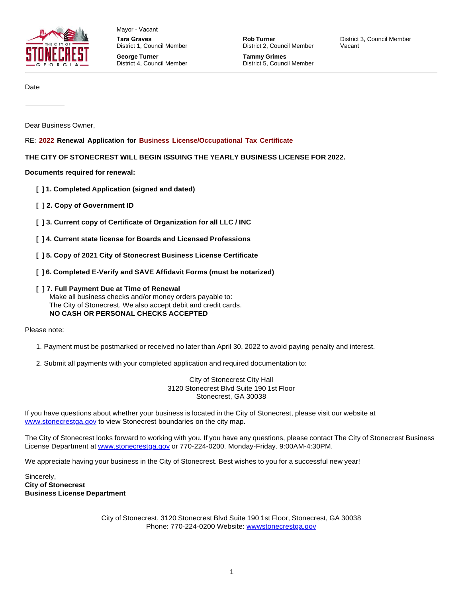

Mayor - Vacant **Tara Graves** District 1, Council Member **George Turner**  District 4, Council Member

**Rob Turner** District 2, Council Member

**Tammy Grimes** District 5, Council Member District 3, Council Member Vacant

Date

Dear Business Owner,

RE: **2022 Renewal Application for Business License/Occupational Tax Certificate**

**THE CITY OF STONECREST WILL BEGIN ISSUING THE YEARLY BUSINESS LICENSE FOR 2022.**

**Documents required for renewal:**

- **[ ] 1. Completed Application (signed and dated)**
- **[ ] 2. Copy of Government ID**
- **[ ] 3. Current copy of Certificate of Organization for all LLC / INC**
- **[ ] 4. Current state license for Boards and Licensed Professions**
- **[ ] 5. Copy of 2021 City of Stonecrest Business License Certificate**
- **[ ] 6. Completed E-Verify and SAVE Affidavit Forms (must be notarized)**
- **[ ] 7. Full Payment Due at Time of Renewal**

Make all business checks and/or money orders payable to: The City of Stonecrest. We also accept debit and credit cards. **NO CASH OR PERSONAL CHECKS ACCEPTED**

Please note:

- 1. Payment must be postmarked or received no later than April 30, 2022 to avoid paying penalty and interest.
- 2. Submit all payments with your completed application and required documentation to:

City of Stonecrest City Hall 3120 Stonecrest Blvd Suite 190 1st Floor Stonecrest, GA 30038

If you have questions about whether your business is located in the City of Stonecrest, please visit our website at [www.stonecrestga.gov](http://www.stonecrestga.gov/) to view Stonecrest boundaries on the city map.

The City of Stonecrest looks forward to working with you. If you have any questions, please contact The City of Stonecrest Business License Department at [www.stonecrestga.gov](http://www.stonecrestga.gov/) or 770-224-0200. Monday-Friday. 9:00AM-4:30PM.

We appreciate having your business in the City of Stonecrest. Best wishes to you for a successful new year!

Sincerely, **City of Stonecrest Business License Department**

> City of Stonecrest, 3120 Stonecrest Blvd Suite 190 1st Floor, Stonecrest, GA 30038 Phone: 770-224-0200 Website: [wwwstonecrestga.gov](https://www.citizenserve.com/Admin/wwwstonecrestga.gov)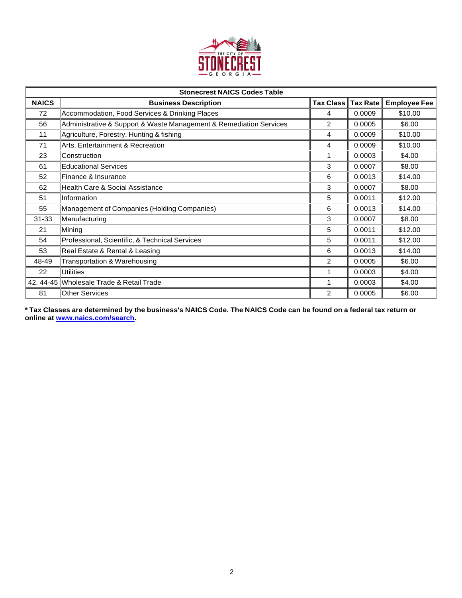

| <b>Stonecrest NAICS Codes Table</b> |                                                                    |           |                 |                     |  |
|-------------------------------------|--------------------------------------------------------------------|-----------|-----------------|---------------------|--|
| <b>NAICS</b>                        | <b>Business Description</b>                                        | Tax Class | <b>Tax Rate</b> | <b>Employee Fee</b> |  |
| 72                                  | Accommodation, Food Services & Drinking Places                     | 4         | 0.0009          | \$10.00             |  |
| 56                                  | Administrative & Support & Waste Management & Remediation Services | 2         | 0.0005          | \$6.00              |  |
| 11                                  | Agriculture, Forestry, Hunting & fishing                           | 4         | 0.0009          | \$10.00             |  |
| 71                                  | Arts, Entertainment & Recreation                                   | 4         | 0.0009          | \$10.00             |  |
| 23                                  | Construction                                                       | 1         | 0.0003          | \$4.00              |  |
| 61                                  | <b>Educational Services</b>                                        | 3         | 0.0007          | \$8.00              |  |
| 52                                  | Finance & Insurance                                                | 6         | 0.0013          | \$14.00             |  |
| 62                                  | <b>Health Care &amp; Social Assistance</b>                         | 3         | 0.0007          | \$8.00              |  |
| 51                                  | Information                                                        | 5         | 0.0011          | \$12.00             |  |
| 55                                  | Management of Companies (Holding Companies)                        | 6         | 0.0013          | \$14.00             |  |
| $31 - 33$                           | Manufacturing                                                      | 3         | 0.0007          | \$8.00              |  |
| 21                                  | Mining                                                             | 5         | 0.0011          | \$12.00             |  |
| 54                                  | Professional, Scientific, & Technical Services                     | 5         | 0.0011          | \$12.00             |  |
| 53                                  | Real Estate & Rental & Leasing                                     | 6         | 0.0013          | \$14.00             |  |
| 48-49                               | Transportation & Warehousing                                       | 2         | 0.0005          | \$6.00              |  |
| 22                                  | Utilities                                                          | 1         | 0.0003          | \$4.00              |  |
| 42, 44-45                           | Wholesale Trade & Retail Trade                                     |           | 0.0003          | \$4.00              |  |
| 81                                  | <b>Other Services</b>                                              | 2         | 0.0005          | \$6.00              |  |

\* Tax Classes are determined by the business's NAICS Code. The NAICS Code can be found on a federal tax return or **online at [www.naics.com/search.](http://www.naics.com/search)**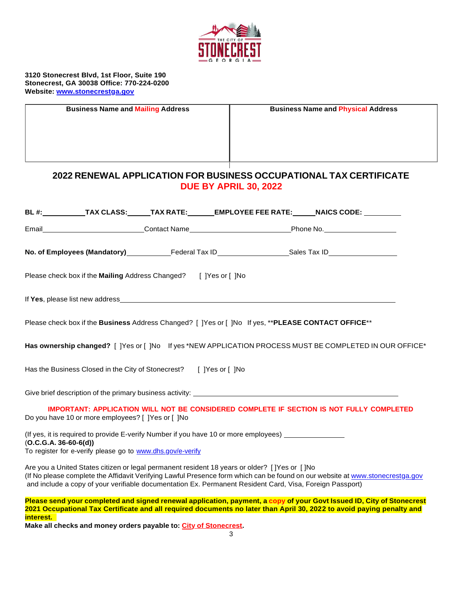

**3120 Stonecrest Blvd, 1st Floor, Suite 190 Stonecrest, GA 30038 Office: 770-224-0200 Website: [www.stonecrestga.gov](http://www.stonecrestga.gov/)**

|                                                                                                    | <b>Business Name and Mailing Address</b>                                            |                     |  |           | <b>Business Name and Physical Address</b> |
|----------------------------------------------------------------------------------------------------|-------------------------------------------------------------------------------------|---------------------|--|-----------|-------------------------------------------|
| 2022 RENEWAL APPLICATION FOR BUSINESS OCCUPATIONAL TAX CERTIFICATE<br><b>DUE BY APRIL 30, 2022</b> |                                                                                     |                     |  |           |                                           |
| <b>BL</b> #:                                                                                       | TAX CLASS:           TAX RATE:             EMPLOYEE FEE RATE:           NAICS CODE: |                     |  |           |                                           |
| Email                                                                                              |                                                                                     | <b>Contact Name</b> |  | Phone No. |                                           |

| No. of Employees (Mandatory) | Federal Tax ID | Sales Tax ID |
|------------------------------|----------------|--------------|
|                              |                |              |

| Please check box if the <b>Mailing</b> Address Changed? | [ ]Yes or [ ]No |
|---------------------------------------------------------|-----------------|
|---------------------------------------------------------|-----------------|

If **Yes**, please list new address

Please check box if the **Business** Address Changed? [ ]Yes or [ ]No If yes, \*\***PLEASE CONTACT OFFICE**\*\*

**Has ownership changed?** [ ]Yes or [ ]No If yes \*NEW APPLICATION PROCESS MUST BE COMPLETED IN OUR OFFICE\*

Has the Business Closed in the City of Stonecrest? [ ]Yes or [ ]No

Give brief description of the primary business activity:

**IMPORTANT: APPLICATION WILL NOT BE CONSIDERED COMPLETE IF SECTION IS NOT FULLY COMPLETED** Do you have 10 or more employees? [ ]Yes or [ ]No

(If yes, it is required to provide E-verify Number if you have 10 or more employees) (**O.C.G.A. 36-60-6(d))** To register for e-verify please go to [www.dhs.gov/e-verify](http://www.dhs.gov/e-verify)

Are you a United States citizen or legal permanent resident 18 years or older? [ ]Yes or [ ]No (If No please complete the Affidavit Verifying Lawful Presence form which can be found on our website at [www.stonecrestga.gov](http://www.stonecrestga.gov/) and include a copy of your verifiable documentation Ex. Permanent Resident Card, Visa, Foreign Passport)

Please send your completed and signed renewal application, payment, a copy of your Govt Issued ID, City of Stonecrest **2021 Occupational Tax Certificate and all required documents no later than April 30, 2022 to avoid paying penalty and interest.**

**Make all checks and money orders payable to: City of Stonecrest.**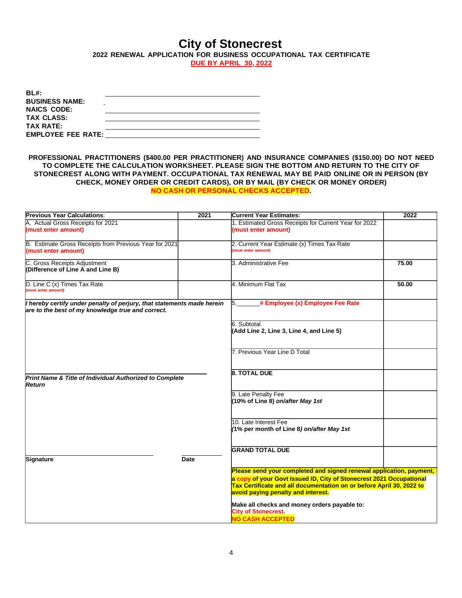# **City of Stonecrest**

**2022 RENEWAL APPLICATION FOR BUSINESS OCCUPATIONAL TAX CERTIFICATE**

**DUE BY APRIL 30, 2022**

| BL#:<br><b>BUSINESS NAME:</b> |  |
|-------------------------------|--|
|                               |  |
| <b>NAICS CODE:</b>            |  |
| <b>TAX CLASS:</b>             |  |
| <b>TAX RATE:</b>              |  |
| <b>EMPLOYEE FEE RATE:</b>     |  |

**PROFESSIONAL PRACTITIONERS (\$400.00 PER PRACTITIONER) AND INSURANCE COMPANIES (\$150.00) DO NOT NEED TO COMPLETE THE CALCULATION WORKSHEET. PLEASE SIGN THE BOTTOM AND RETURN TO THE CITY OF STONECREST ALONG WITH PAYMENT. OCCUPATIONAL TAX RENEWAL MAY BE PAID ONLINE OR IN PERSON (BY CHECK, MONEY ORDER OR CREDIT CARDS), OR BY MAIL (BY CHECK OR MONEY ORDER) NO CASH OR PERSONAL CHECKS ACCEPTED.**

| A. Actual Gross Receipts for 2021<br>1. Estimated Gross Receipts for Current Year for 2022<br>(must enter amount)<br>(must enter amount)<br>B. Estimate Gross Receipts from Previous Year for 2021<br>2. Current Year Estimate (x) Times Tax Rate<br>(must enter amount)<br>(must enter amount)<br>C. Gross Receipts Adjustment<br>3. Administrative Fee<br>75.00<br>(Difference of Line A and Line B)<br>4. Minimum Flat Tax<br>D. Line C (x) Times Tax Rate<br>50.00 |  |
|------------------------------------------------------------------------------------------------------------------------------------------------------------------------------------------------------------------------------------------------------------------------------------------------------------------------------------------------------------------------------------------------------------------------------------------------------------------------|--|
|                                                                                                                                                                                                                                                                                                                                                                                                                                                                        |  |
|                                                                                                                                                                                                                                                                                                                                                                                                                                                                        |  |
|                                                                                                                                                                                                                                                                                                                                                                                                                                                                        |  |
|                                                                                                                                                                                                                                                                                                                                                                                                                                                                        |  |
|                                                                                                                                                                                                                                                                                                                                                                                                                                                                        |  |
|                                                                                                                                                                                                                                                                                                                                                                                                                                                                        |  |
|                                                                                                                                                                                                                                                                                                                                                                                                                                                                        |  |
|                                                                                                                                                                                                                                                                                                                                                                                                                                                                        |  |
|                                                                                                                                                                                                                                                                                                                                                                                                                                                                        |  |
| (must enter amount)                                                                                                                                                                                                                                                                                                                                                                                                                                                    |  |
|                                                                                                                                                                                                                                                                                                                                                                                                                                                                        |  |
| # Employee (x) Employee Fee Rate<br>I hereby certify under penalty of perjury, that statements made herein<br>5.                                                                                                                                                                                                                                                                                                                                                       |  |
| are to the best of my knowledge true and correct.                                                                                                                                                                                                                                                                                                                                                                                                                      |  |
|                                                                                                                                                                                                                                                                                                                                                                                                                                                                        |  |
| 6. Subtotal                                                                                                                                                                                                                                                                                                                                                                                                                                                            |  |
| (Add Line 2, Line 3, Line 4, and Line 5)                                                                                                                                                                                                                                                                                                                                                                                                                               |  |
|                                                                                                                                                                                                                                                                                                                                                                                                                                                                        |  |
|                                                                                                                                                                                                                                                                                                                                                                                                                                                                        |  |
| 7. Previous Year Line D Total                                                                                                                                                                                                                                                                                                                                                                                                                                          |  |
|                                                                                                                                                                                                                                                                                                                                                                                                                                                                        |  |
|                                                                                                                                                                                                                                                                                                                                                                                                                                                                        |  |
| <b>8. TOTAL DUE</b>                                                                                                                                                                                                                                                                                                                                                                                                                                                    |  |
| Print Name & Title of Individual Authorized to Complete<br>Return                                                                                                                                                                                                                                                                                                                                                                                                      |  |
|                                                                                                                                                                                                                                                                                                                                                                                                                                                                        |  |
| 9. Late Penalty Fee                                                                                                                                                                                                                                                                                                                                                                                                                                                    |  |
| (10% of Line 8) on/after May 1st                                                                                                                                                                                                                                                                                                                                                                                                                                       |  |
|                                                                                                                                                                                                                                                                                                                                                                                                                                                                        |  |
|                                                                                                                                                                                                                                                                                                                                                                                                                                                                        |  |
| 10. Late Interest Fee                                                                                                                                                                                                                                                                                                                                                                                                                                                  |  |
| (1% per month of Line 8) on/after May 1st                                                                                                                                                                                                                                                                                                                                                                                                                              |  |
|                                                                                                                                                                                                                                                                                                                                                                                                                                                                        |  |
|                                                                                                                                                                                                                                                                                                                                                                                                                                                                        |  |
| <b>GRAND TOTAL DUE</b>                                                                                                                                                                                                                                                                                                                                                                                                                                                 |  |
| Signature<br><b>Date</b>                                                                                                                                                                                                                                                                                                                                                                                                                                               |  |
| Please send your completed and signed renewal application, payment,                                                                                                                                                                                                                                                                                                                                                                                                    |  |
|                                                                                                                                                                                                                                                                                                                                                                                                                                                                        |  |
| a copy of your Govt Issued ID, City of Stonecrest 2021 Occupational<br>Tax Certificate and all documentation on or before April 30, 2022 to                                                                                                                                                                                                                                                                                                                            |  |
| avoid paying penalty and interest.                                                                                                                                                                                                                                                                                                                                                                                                                                     |  |
|                                                                                                                                                                                                                                                                                                                                                                                                                                                                        |  |
| Make all checks and money orders payable to:                                                                                                                                                                                                                                                                                                                                                                                                                           |  |
| <b>City of Stonecrest</b>                                                                                                                                                                                                                                                                                                                                                                                                                                              |  |
| NO CASH ACCEPTED                                                                                                                                                                                                                                                                                                                                                                                                                                                       |  |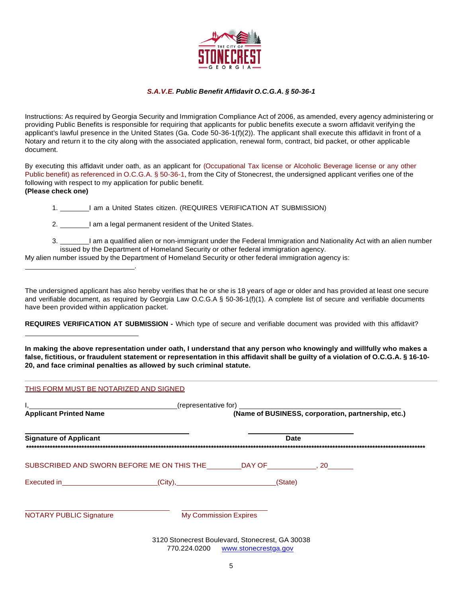

# *S.A.V.E. Public Benefit Affidavit O.C.G.A. § 50-36-1*

Instructions: As required by Georgia Security and Immigration Compliance Act of 2006, as amended, every agency administering or providing Public Benefits is responsible for requiring that applicants for public benefits execute a sworn affidavit verifying the applicant's lawful presence in the United States (Ga. Code 50-36-1(f)(2)). The applicant shall execute this affidavit in front of a Notary and return it to the city along with the associated application, renewal form, contract, bid packet, or other applicable document.

By executing this affidavit under oath, as an applicant for (Occupational Tax license or Alcoholic Beverage license or any other Public benefit) as referenced in O.C.G.A. § 50-36-1, from the City of Stonecrest, the undersigned applicant verifies one of the following with respect to my application for public benefit. **(Please check one)**

1. 1. I am a United States citizen. (REQUIRES VERIFICATION AT SUBMISSION)

2. I am a legal permanent resident of the United States.

.

3. I am a qualified alien or non-immigrant under the Federal Immigration and Nationality Act with an alien number issued by the Department of Homeland Security or other federal immigration agency.

My alien number issued by the Department of Homeland Security or other federal immigration agency is:

The undersigned applicant has also hereby verifies that he or she is 18 years of age or older and has provided at least one secure and verifiable document, as required by Georgia Law O.C.G.A § 50-36-1(f)(1). A complete list of secure and verifiable documents have been provided within application packet.

**REQUIRES VERIFICATION AT SUBMISSION -** Which type of secure and verifiable document was provided with this affidavit?

**In making the above representation under oath, I understand that any person who knowingly and willfully who makes a** false, fictitious, or fraudulent statement or representation in this affidavit shall be guilty of a violation of O.C.G.A. § 16-10-**20, and face criminal penalties as allowed by such criminal statute.**

| <b>Applicant Printed Name</b>                                                                                                                                                                                                  |  | (Name of BUSINESS, corporation, partnership, etc.) |  |  |
|--------------------------------------------------------------------------------------------------------------------------------------------------------------------------------------------------------------------------------|--|----------------------------------------------------|--|--|
| <b>Signature of Applicant</b>                                                                                                                                                                                                  |  | <b>Date</b>                                        |  |  |
| SUBSCRIBED AND SWORN BEFORE ME ON THIS THE __________DAY OF_______________, 20_________                                                                                                                                        |  |                                                    |  |  |
| Executed in Contact City), City Contact Contact City Contact Contact Contact Contact Contact Contact Contact Contact Contact Contact Contact Contact Contact Contact Contact Contact Contact Contact Contact Contact Contact C |  | (State)                                            |  |  |
|                                                                                                                                                                                                                                |  |                                                    |  |  |

3120 Stonecrest Boulevard, Stonecrest, GA 30038 770.224.0200 [www.stonecrestga.gov](http://www.stonecrestga.gov/)